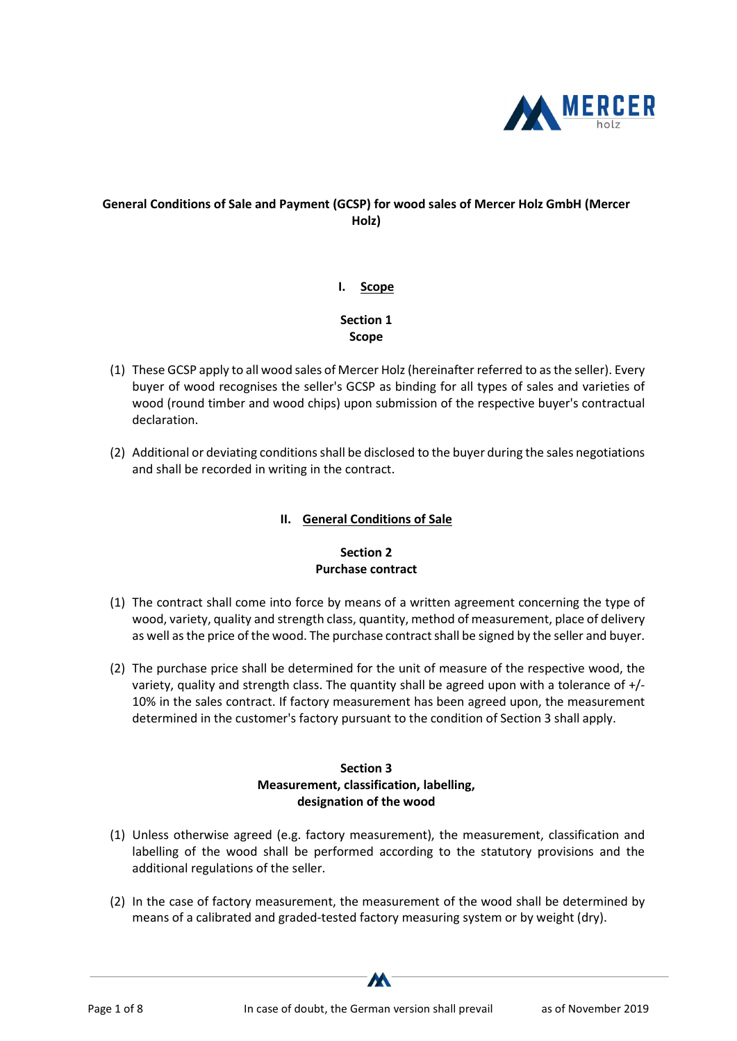

# General Conditions of Sale and Payment (GCSP) for wood sales of Mercer Holz GmbH (Mercer Holz)

#### I. Scope

# Section 1 Scope

- (1) These GCSP apply to all wood sales of Mercer Holz (hereinafter referred to as the seller). Every buyer of wood recognises the seller's GCSP as binding for all types of sales and varieties of wood (round timber and wood chips) upon submission of the respective buyer's contractual declaration.
- (2) Additional or deviating conditions shall be disclosed to the buyer during the sales negotiations and shall be recorded in writing in the contract.

## II. General Conditions of Sale

# Section 2 Purchase contract

- (1) The contract shall come into force by means of a written agreement concerning the type of wood, variety, quality and strength class, quantity, method of measurement, place of delivery as well as the price of the wood. The purchase contract shall be signed by the seller and buyer.
- (2) The purchase price shall be determined for the unit of measure of the respective wood, the variety, quality and strength class. The quantity shall be agreed upon with a tolerance of +/- 10% in the sales contract. If factory measurement has been agreed upon, the measurement determined in the customer's factory pursuant to the condition of Section 3 shall apply.

#### Section 3 Measurement, classification, labelling, designation of the wood

- (1) Unless otherwise agreed (e.g. factory measurement), the measurement, classification and labelling of the wood shall be performed according to the statutory provisions and the additional regulations of the seller.
- (2) In the case of factory measurement, the measurement of the wood shall be determined by means of a calibrated and graded-tested factory measuring system or by weight (dry).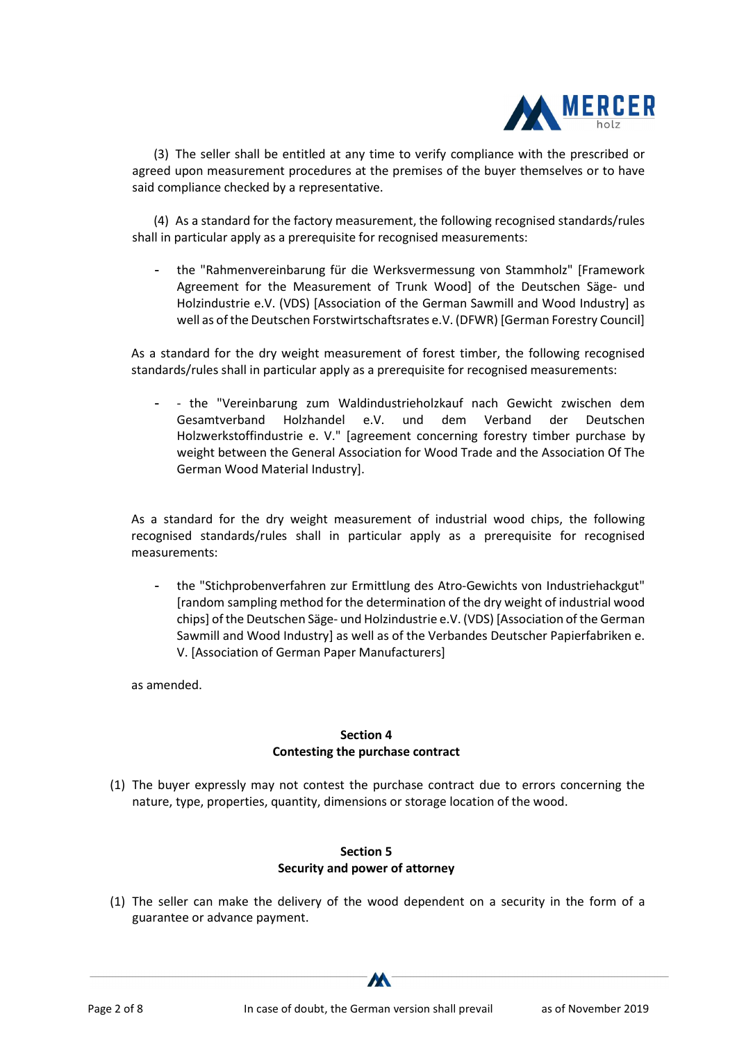

(3) The seller shall be entitled at any time to verify compliance with the prescribed or agreed upon measurement procedures at the premises of the buyer themselves or to have said compliance checked by a representative.

(4) As a standard for the factory measurement, the following recognised standards/rules shall in particular apply as a prerequisite for recognised measurements:

- the "Rahmenvereinbarung für die Werksvermessung von Stammholz" [Framework Agreement for the Measurement of Trunk Wood] of the Deutschen Säge- und Holzindustrie e.V. (VDS) [Association of the German Sawmill and Wood Industry] as well as of the Deutschen Forstwirtschaftsrates e.V. (DFWR) [German Forestry Council]

As a standard for the dry weight measurement of forest timber, the following recognised standards/rules shall in particular apply as a prerequisite for recognised measurements:

- - the "Vereinbarung zum Waldindustrieholzkauf nach Gewicht zwischen dem Gesamtverband Holzhandel e.V. und dem Verband der Deutschen Holzwerkstoffindustrie e. V." [agreement concerning forestry timber purchase by weight between the General Association for Wood Trade and the Association Of The German Wood Material Industry].

As a standard for the dry weight measurement of industrial wood chips, the following recognised standards/rules shall in particular apply as a prerequisite for recognised measurements:

- the "Stichprobenverfahren zur Ermittlung des Atro-Gewichts von Industriehackgut" [random sampling method for the determination of the dry weight of industrial wood chips] of the Deutschen Säge- und Holzindustrie e.V. (VDS) [Association of the German Sawmill and Wood Industry] as well as of the Verbandes Deutscher Papierfabriken e. V. [Association of German Paper Manufacturers]

as amended.

## Section 4 Contesting the purchase contract

(1) The buyer expressly may not contest the purchase contract due to errors concerning the nature, type, properties, quantity, dimensions or storage location of the wood.

#### Section 5 Security and power of attorney

(1) The seller can make the delivery of the wood dependent on a security in the form of a guarantee or advance payment.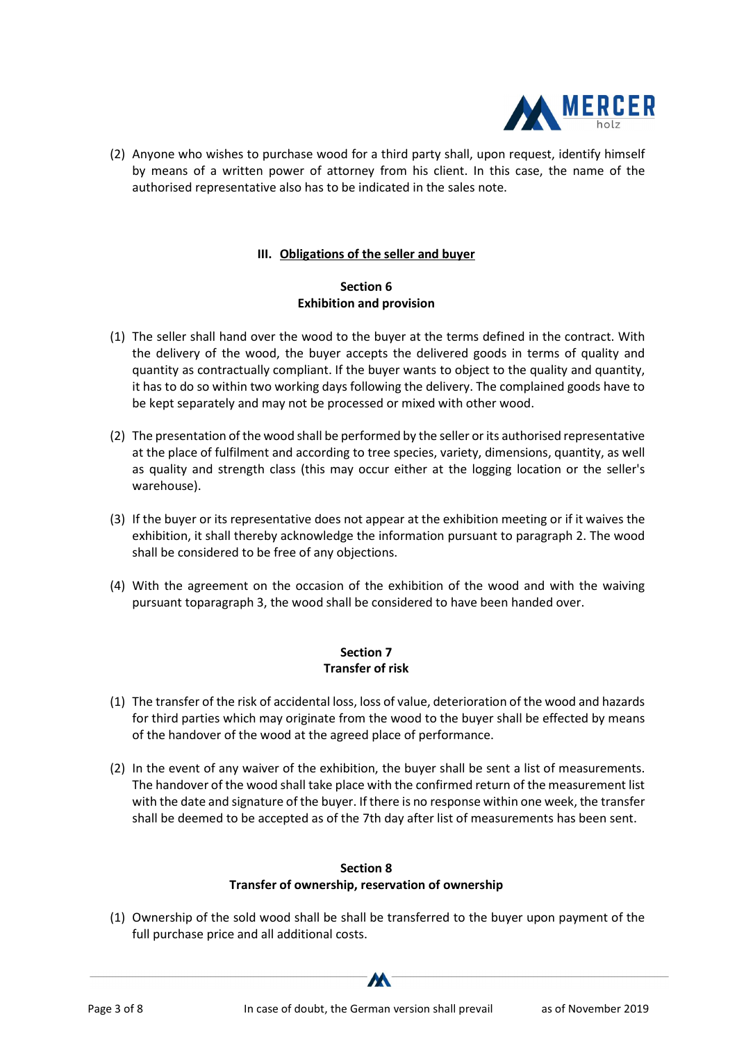

(2) Anyone who wishes to purchase wood for a third party shall, upon request, identify himself by means of a written power of attorney from his client. In this case, the name of the authorised representative also has to be indicated in the sales note.

## III. Obligations of the seller and buyer

## Section 6 Exhibition and provision

- (1) The seller shall hand over the wood to the buyer at the terms defined in the contract. With the delivery of the wood, the buyer accepts the delivered goods in terms of quality and quantity as contractually compliant. If the buyer wants to object to the quality and quantity, it has to do so within two working days following the delivery. The complained goods have to be kept separately and may not be processed or mixed with other wood.
- (2) The presentation of the wood shall be performed by the seller or its authorised representative at the place of fulfilment and according to tree species, variety, dimensions, quantity, as well as quality and strength class (this may occur either at the logging location or the seller's warehouse).
- (3) If the buyer or its representative does not appear at the exhibition meeting or if it waives the exhibition, it shall thereby acknowledge the information pursuant to paragraph 2. The wood shall be considered to be free of any objections.
- (4) With the agreement on the occasion of the exhibition of the wood and with the waiving pursuant toparagraph 3, the wood shall be considered to have been handed over.

# Section 7 Transfer of risk

- (1) The transfer of the risk of accidental loss, loss of value, deterioration of the wood and hazards for third parties which may originate from the wood to the buyer shall be effected by means of the handover of the wood at the agreed place of performance.
- (2) In the event of any waiver of the exhibition, the buyer shall be sent a list of measurements. The handover of the wood shall take place with the confirmed return of the measurement list with the date and signature of the buyer. If there is no response within one week, the transfer shall be deemed to be accepted as of the 7th day after list of measurements has been sent.

## Section 8 Transfer of ownership, reservation of ownership

(1) Ownership of the sold wood shall be shall be transferred to the buyer upon payment of the full purchase price and all additional costs.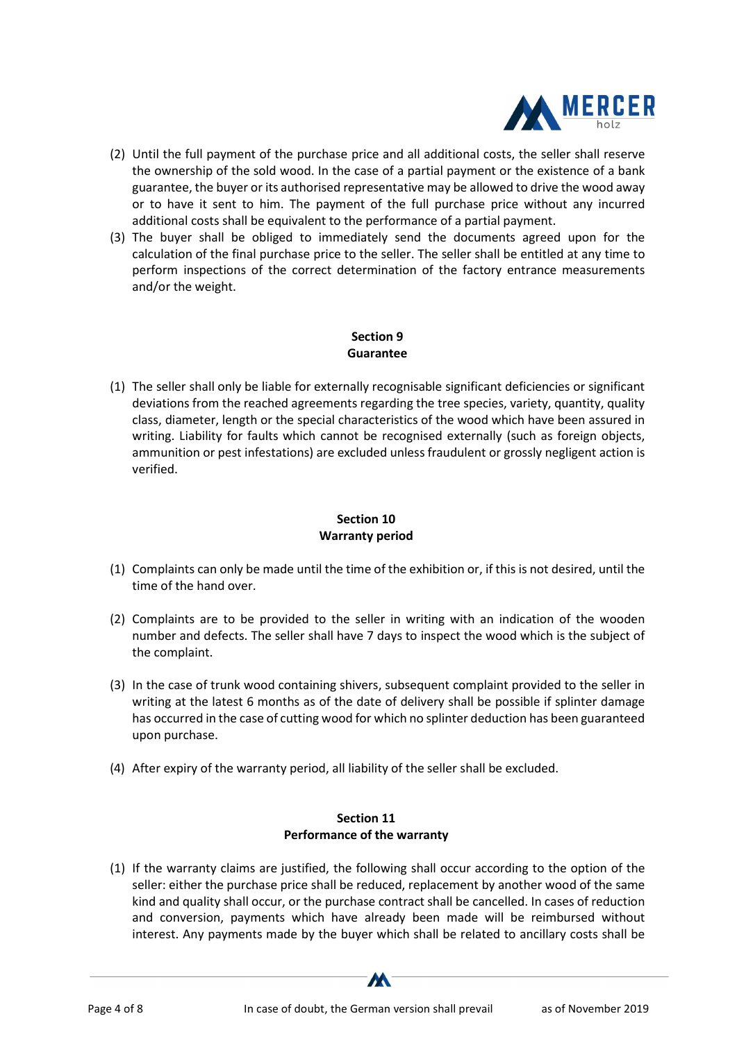

- (2) Until the full payment of the purchase price and all additional costs, the seller shall reserve the ownership of the sold wood. In the case of a partial payment or the existence of a bank guarantee, the buyer or its authorised representative may be allowed to drive the wood away or to have it sent to him. The payment of the full purchase price without any incurred additional costs shall be equivalent to the performance of a partial payment.
- (3) The buyer shall be obliged to immediately send the documents agreed upon for the calculation of the final purchase price to the seller. The seller shall be entitled at any time to perform inspections of the correct determination of the factory entrance measurements and/or the weight.

## Section 9 Guarantee

(1) The seller shall only be liable for externally recognisable significant deficiencies or significant deviations from the reached agreements regarding the tree species, variety, quantity, quality class, diameter, length or the special characteristics of the wood which have been assured in writing. Liability for faults which cannot be recognised externally (such as foreign objects, ammunition or pest infestations) are excluded unless fraudulent or grossly negligent action is verified.

# Section 10 Warranty period

- (1) Complaints can only be made until the time of the exhibition or, if this is not desired, until the time of the hand over.
- (2) Complaints are to be provided to the seller in writing with an indication of the wooden number and defects. The seller shall have 7 days to inspect the wood which is the subject of the complaint.
- (3) In the case of trunk wood containing shivers, subsequent complaint provided to the seller in writing at the latest 6 months as of the date of delivery shall be possible if splinter damage has occurred in the case of cutting wood for which no splinter deduction has been guaranteed upon purchase.
- (4) After expiry of the warranty period, all liability of the seller shall be excluded.

#### Section 11 Performance of the warranty

(1) If the warranty claims are justified, the following shall occur according to the option of the seller: either the purchase price shall be reduced, replacement by another wood of the same kind and quality shall occur, or the purchase contract shall be cancelled. In cases of reduction and conversion, payments which have already been made will be reimbursed without interest. Any payments made by the buyer which shall be related to ancillary costs shall be

W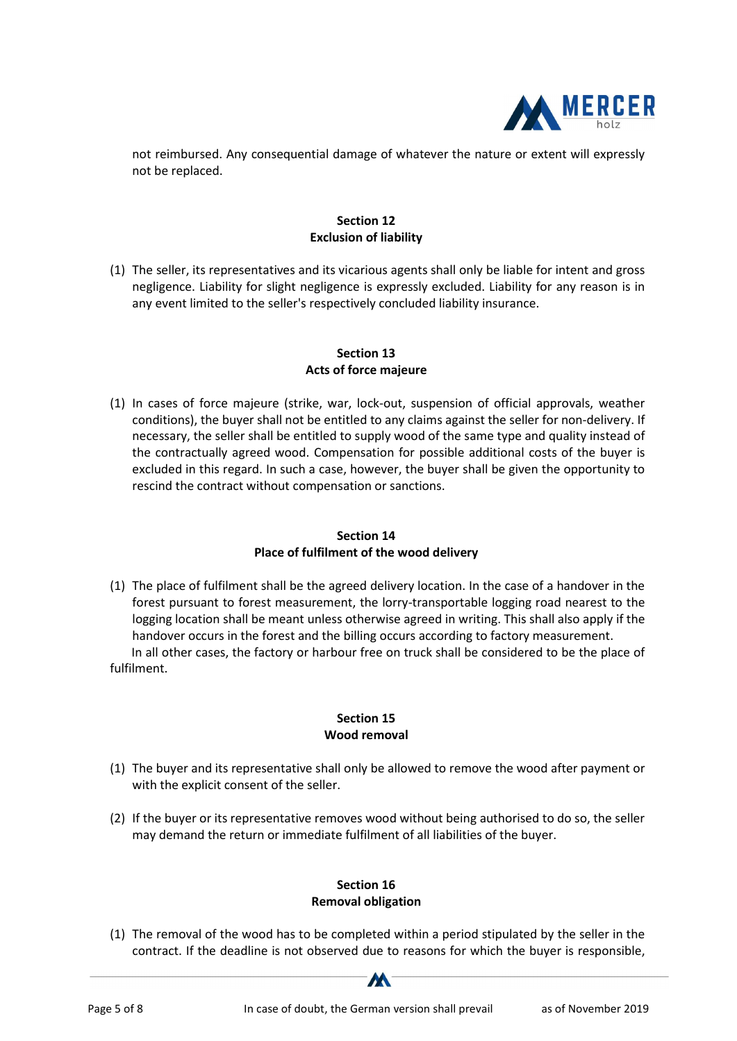

not reimbursed. Any consequential damage of whatever the nature or extent will expressly not be replaced.

## Section 12 Exclusion of liability

(1) The seller, its representatives and its vicarious agents shall only be liable for intent and gross negligence. Liability for slight negligence is expressly excluded. Liability for any reason is in any event limited to the seller's respectively concluded liability insurance.

## Section 13 Acts of force majeure

(1) In cases of force majeure (strike, war, lock-out, suspension of official approvals, weather conditions), the buyer shall not be entitled to any claims against the seller for non-delivery. If necessary, the seller shall be entitled to supply wood of the same type and quality instead of the contractually agreed wood. Compensation for possible additional costs of the buyer is excluded in this regard. In such a case, however, the buyer shall be given the opportunity to rescind the contract without compensation or sanctions.

## Section 14 Place of fulfilment of the wood delivery

(1) The place of fulfilment shall be the agreed delivery location. In the case of a handover in the forest pursuant to forest measurement, the lorry-transportable logging road nearest to the logging location shall be meant unless otherwise agreed in writing. This shall also apply if the handover occurs in the forest and the billing occurs according to factory measurement. In all other cases, the factory or harbour free on truck shall be considered to be the place of fulfilment.

# Section 15 Wood removal

- (1) The buyer and its representative shall only be allowed to remove the wood after payment or with the explicit consent of the seller.
- (2) If the buyer or its representative removes wood without being authorised to do so, the seller may demand the return or immediate fulfilment of all liabilities of the buyer.

# Section 16 Removal obligation

(1) The removal of the wood has to be completed within a period stipulated by the seller in the contract. If the deadline is not observed due to reasons for which the buyer is responsible,

M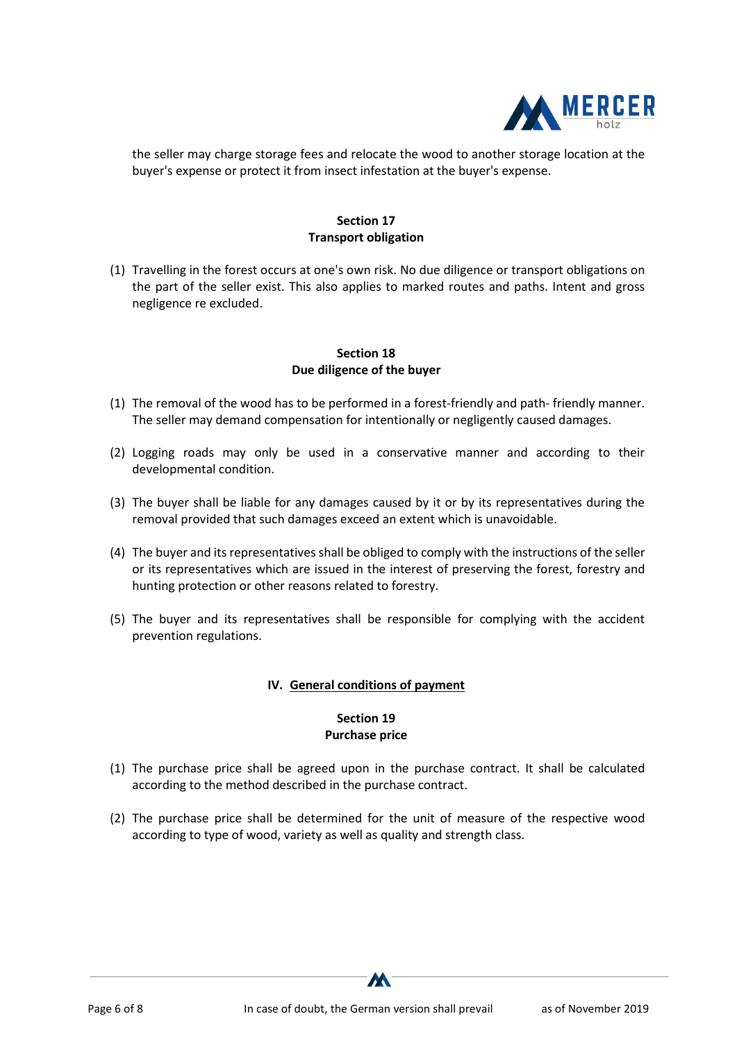

the seller may charge storage fees and relocate the wood to another storage location at the buyer's expense or protect it from insect infestation at the buyer's expense.

## Section 17 Transport obligation

(1) Travelling in the forest occurs at one's own risk. No due diligence or transport obligations on the part of the seller exist. This also applies to marked routes and paths. Intent and gross negligence re excluded.

#### Section 18 Due diligence of the buyer

- (1) The removal of the wood has to be performed in a forest-friendly and path- friendly manner. The seller may demand compensation for intentionally or negligently caused damages.
- (2) Logging roads may only be used in a conservative manner and according to their developmental condition.
- (3) The buyer shall be liable for any damages caused by it or by its representatives during the removal provided that such damages exceed an extent which is unavoidable.
- (4) The buyer and its representatives shall be obliged to comply with the instructions of the seller or its representatives which are issued in the interest of preserving the forest, forestry and hunting protection or other reasons related to forestry.
- (5) The buyer and its representatives shall be responsible for complying with the accident prevention regulations.

#### IV. General conditions of payment

# Section 19 Purchase price

- (1) The purchase price shall be agreed upon in the purchase contract. It shall be calculated according to the method described in the purchase contract.
- (2) The purchase price shall be determined for the unit of measure of the respective wood according to type of wood, variety as well as quality and strength class.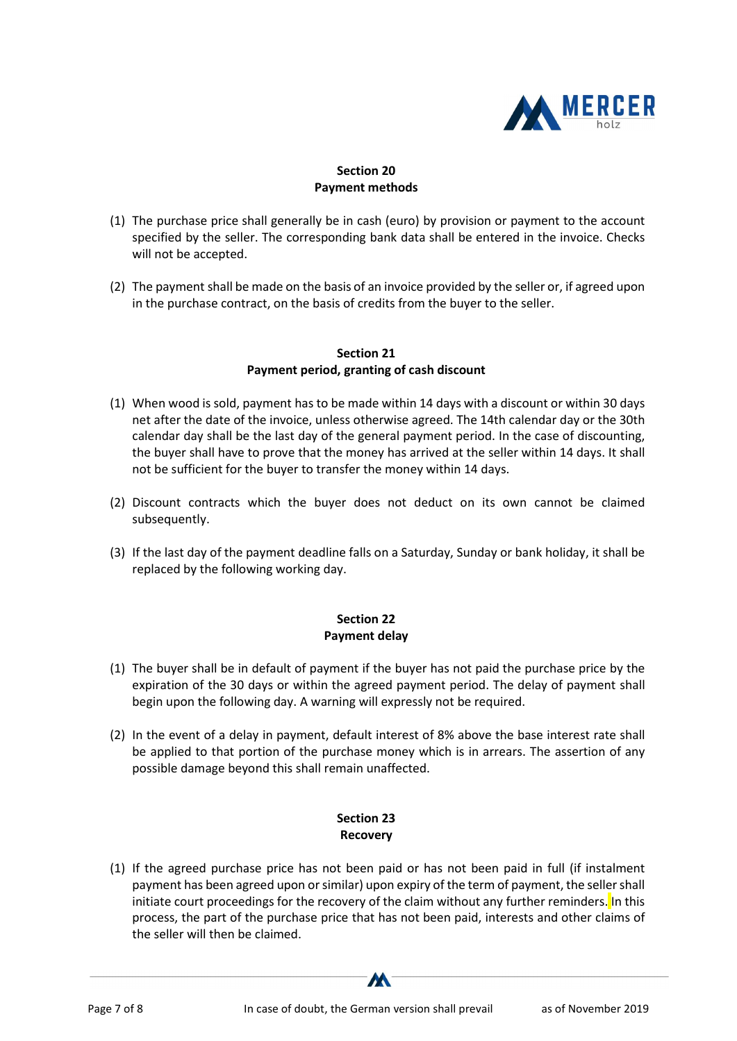

## Section 20 Payment methods

- (1) The purchase price shall generally be in cash (euro) by provision or payment to the account specified by the seller. The corresponding bank data shall be entered in the invoice. Checks will not be accepted.
- (2) The payment shall be made on the basis of an invoice provided by the seller or, if agreed upon in the purchase contract, on the basis of credits from the buyer to the seller.

#### Section 21 Payment period, granting of cash discount

- (1) When wood is sold, payment has to be made within 14 days with a discount or within 30 days net after the date of the invoice, unless otherwise agreed. The 14th calendar day or the 30th calendar day shall be the last day of the general payment period. In the case of discounting, the buyer shall have to prove that the money has arrived at the seller within 14 days. It shall not be sufficient for the buyer to transfer the money within 14 days.
- (2) Discount contracts which the buyer does not deduct on its own cannot be claimed subsequently.
- (3) If the last day of the payment deadline falls on a Saturday, Sunday or bank holiday, it shall be replaced by the following working day.

#### Section 22 Payment delay

- (1) The buyer shall be in default of payment if the buyer has not paid the purchase price by the expiration of the 30 days or within the agreed payment period. The delay of payment shall begin upon the following day. A warning will expressly not be required.
- (2) In the event of a delay in payment, default interest of 8% above the base interest rate shall be applied to that portion of the purchase money which is in arrears. The assertion of any possible damage beyond this shall remain unaffected.

#### Section 23 Recovery

(1) If the agreed purchase price has not been paid or has not been paid in full (if instalment payment has been agreed upon or similar) upon expiry of the term of payment, the seller shall initiate court proceedings for the recovery of the claim without any further reminders. In this process, the part of the purchase price that has not been paid, interests and other claims of the seller will then be claimed.